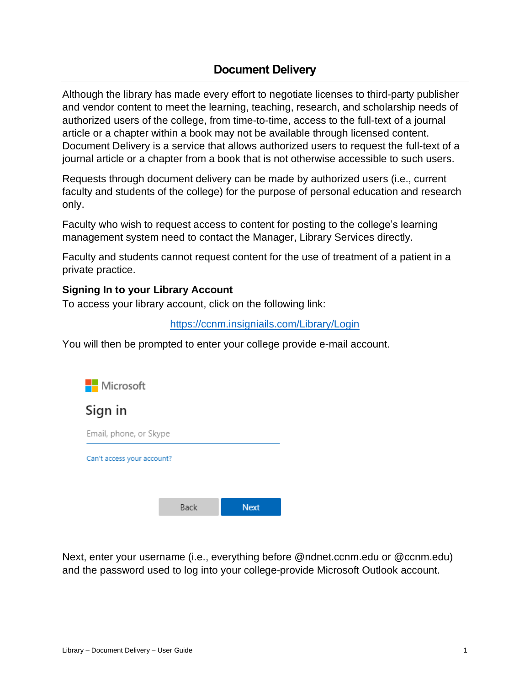# **Document Delivery**

Although the library has made every effort to negotiate licenses to third-party publisher and vendor content to meet the learning, teaching, research, and scholarship needs of authorized users of the college, from time-to-time, access to the full-text of a journal article or a chapter within a book may not be available through licensed content. Document Delivery is a service that allows authorized users to request the full-text of a journal article or a chapter from a book that is not otherwise accessible to such users.

Requests through document delivery can be made by authorized users (i.e., current faculty and students of the college) for the purpose of personal education and research only.

Faculty who wish to request access to content for posting to the college's learning management system need to contact the Manager, Library Services directly.

Faculty and students cannot request content for the use of treatment of a patient in a private practice.

### **Signing In to your Library Account**

To access your library account, click on the following link:

#### <https://ccnm.insigniails.com/Library/Login>

You will then be prompted to enter your college provide e-mail account.



Next, enter your username (i.e., everything before @ndnet.ccnm.edu or @ccnm.edu) and the password used to log into your college-provide Microsoft Outlook account.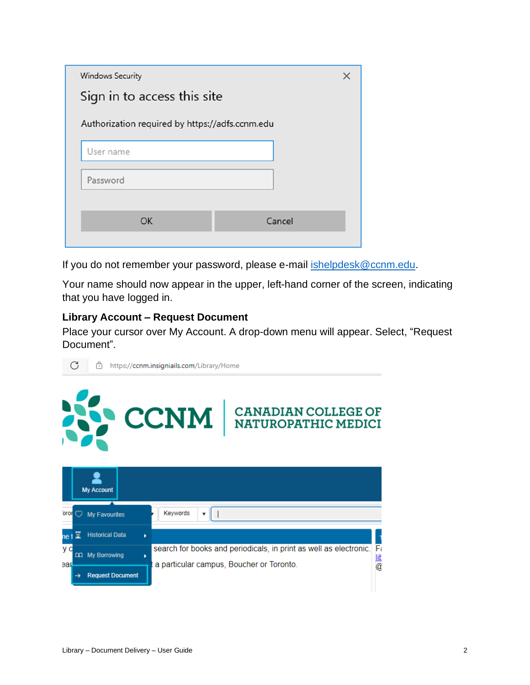| Windows Security                                |        |  |  |  |  |  |
|-------------------------------------------------|--------|--|--|--|--|--|
| Sign in to access this site                     |        |  |  |  |  |  |
| Authorization required by https://adfs.ccnm.edu |        |  |  |  |  |  |
| User name                                       |        |  |  |  |  |  |
| Password                                        |        |  |  |  |  |  |
|                                                 |        |  |  |  |  |  |
| OK                                              | Cancel |  |  |  |  |  |
|                                                 |        |  |  |  |  |  |

If you do not remember your password, please e-mail [ishelpdesk@ccnm.edu.](ishelpdesk@ccnm.edu)

Your name should now appear in the upper, left-hand corner of the screen, indicating that you have logged in.

### **Library Account – Request Document**

Place your cursor over My Account. A drop-down menu will appear. Select, "Request Document".

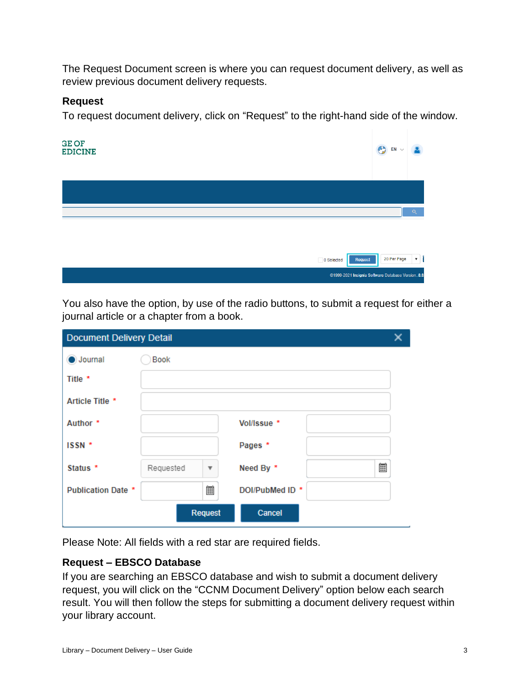The Request Document screen is where you can request document delivery, as well as review previous document delivery requests.

### **Request**

To request document delivery, click on "Request" to the right-hand side of the window.

| <b>GE OF</b><br><b>EDICINE</b> | B                                                | $EN \sim$                   |
|--------------------------------|--------------------------------------------------|-----------------------------|
|                                |                                                  |                             |
|                                |                                                  | Q                           |
|                                | Request<br>0 Selected                            | 20 Per Page<br>$\mathbf{v}$ |
|                                | ©1999-2021 Insignia Software Database Version8.8 |                             |

You also have the option, by use of the radio buttons, to submit a request for either a journal article or a chapter from a book.

| <b>Document Delivery Detail</b> |             |                         |                 |   |  |
|---------------------------------|-------------|-------------------------|-----------------|---|--|
| $\bigcirc$ Journal              | <b>Book</b> |                         |                 |   |  |
| Title *                         |             |                         |                 |   |  |
| Article Title *                 |             |                         |                 |   |  |
| Author *                        |             |                         | Vol/Issue *     |   |  |
| ISSN *                          |             |                         | Pages *         |   |  |
| Status *                        | Requested   | $\overline{\mathbf{v}}$ | Need By *       | 圍 |  |
| <b>Publication Date *</b>       |             | 餔                       | DOI/PubMed ID * |   |  |
|                                 |             | <b>Request</b>          | Cancel          |   |  |

Please Note: All fields with a red star are required fields.

# **Request – EBSCO Database**

If you are searching an EBSCO database and wish to submit a document delivery request, you will click on the "CCNM Document Delivery" option below each search result. You will then follow the steps for submitting a document delivery request within your library account.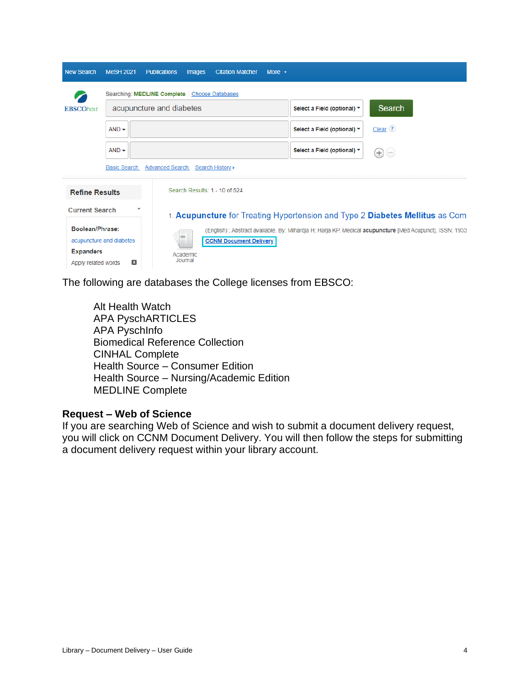| <b>New Search</b>                                                                                                          | <b>MeSH 2021</b>                                               | <b>Publications</b>                          | Images              | <b>Citation Matcher</b> | More $\sqrt{ }$ |                                  |                          |
|----------------------------------------------------------------------------------------------------------------------------|----------------------------------------------------------------|----------------------------------------------|---------------------|-------------------------|-----------------|----------------------------------|--------------------------|
|                                                                                                                            |                                                                | Searching: MEDLINE Complete Choose Databases |                     |                         |                 |                                  |                          |
| <b>EBSCOhost</b>                                                                                                           |                                                                | acupuncture and diabetes                     |                     |                         |                 | Select a Field (optional) $\tau$ | <b>Search</b>            |
|                                                                                                                            | $AND -$                                                        |                                              |                     |                         |                 | Select a Field (optional) $\tau$ | Clear $(2)$              |
|                                                                                                                            | $AND -$                                                        |                                              |                     |                         |                 | Select a Field (optional) $\tau$ | $\bigoplus(\rightarrow)$ |
| Search History ><br><b>Basic Search</b><br><b>Advanced Search</b>                                                          |                                                                |                                              |                     |                         |                 |                                  |                          |
| Search Results: 1 - 10 of 524<br><b>Refine Results</b>                                                                     |                                                                |                                              |                     |                         |                 |                                  |                          |
| v<br><b>Current Search</b><br>1. Acupuncture for Treating Hypertension and Type 2 Diabetes Mellitus as Com                 |                                                                |                                              |                     |                         |                 |                                  |                          |
| Boolean/Phrase:<br>(English); Abstract available. By: Mihardja H; Harja KP, Medical acupuncture [Med Acupunct], ISSN: 1933 |                                                                |                                              |                     |                         |                 |                                  |                          |
|                                                                                                                            | m<br><b>CCNM Document Delivery</b><br>acupuncture and diabetes |                                              |                     |                         |                 |                                  |                          |
| <b>Expanders</b>                                                                                                           |                                                                |                                              | Academic<br>Journal |                         |                 |                                  |                          |
| Apply related words                                                                                                        | $\pmb{\mathsf{x}}$                                             |                                              |                     |                         |                 |                                  |                          |

The following are databases the College licenses from EBSCO:

Alt Health Watch APA PyschARTICLES APA PyschInfo Biomedical Reference Collection CINHAL Complete Health Source – Consumer Edition Health Source – Nursing/Academic Edition MEDLINE Complete

### **Request – Web of Science**

If you are searching Web of Science and wish to submit a document delivery request, you will click on CCNM Document Delivery. You will then follow the steps for submitting a document delivery request within your library account.